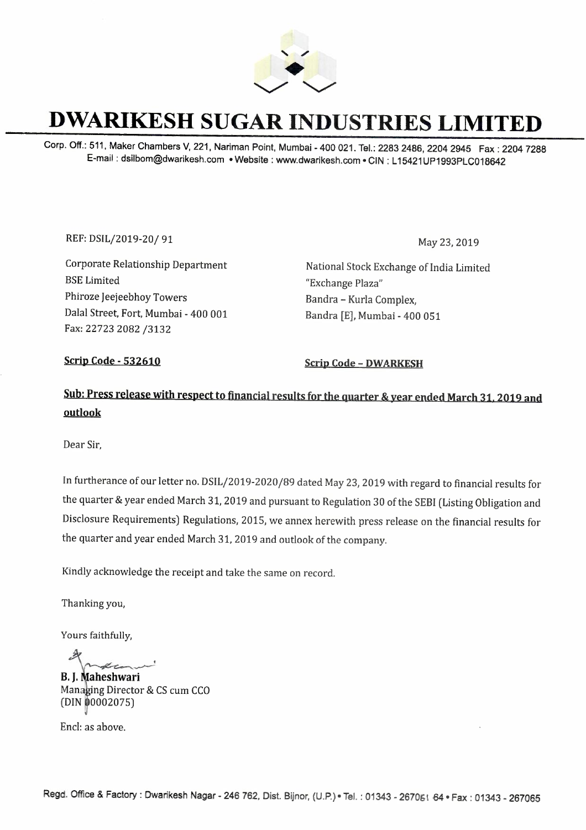

## **DWARIKESH SUGAR INDUSTRIES LIMITED**

Corp. Off.: 511, Maker Chambers V, 221, Nariman Point, Mumbai -400 021. Tel.: 2283 2486, 2204 2945 Fax: 2204 7288 E-mail: dsilbom@dwarikesh.com •Website: www.dwarikesh.com • CIN: L 15421UP1993PLC018642

REF: DSIL/2019-20/ 91 May 23, 2019

Corporate Relationship Department BSE Limited Phiroze Jeejeebhoy Towers Dalal Street, Fort, Mumbai - 400 001 Fax: 22723 2082 /3132

National Stock Exchange of India Limited "Exchange Plaza" Bandra - Kurla Complex, Bandra [E], Mumbai - 400 051

**Scrip Code - 532610 Scrip Code - DWARKESH** 

### **Sub: Press release with respect** to **financial results for the quarter** & **year ended March 31, 2019** and **outlook**

Dear Sir,

In furtherance of our letter no. DSIL/2019-2020/89 dated May 23, 2019 with regard to financial results for the quarter & year ended March 31, 2019 and pursuant to Regulation 30 of the SEBI (Listing Obligation and Disclosure Requirements) Regulations, 2015, we annex herewith press release on the financial results for the quarter and year ended March 31, 2019 and outlook of the company.

Kindly acknowledge the receipt and take the same on record.

Thanking you,

Yours faithfully,

**B. J. Maheshwari** Managing Director & CS cum CCO (DIN 00002075)

Encl: as above.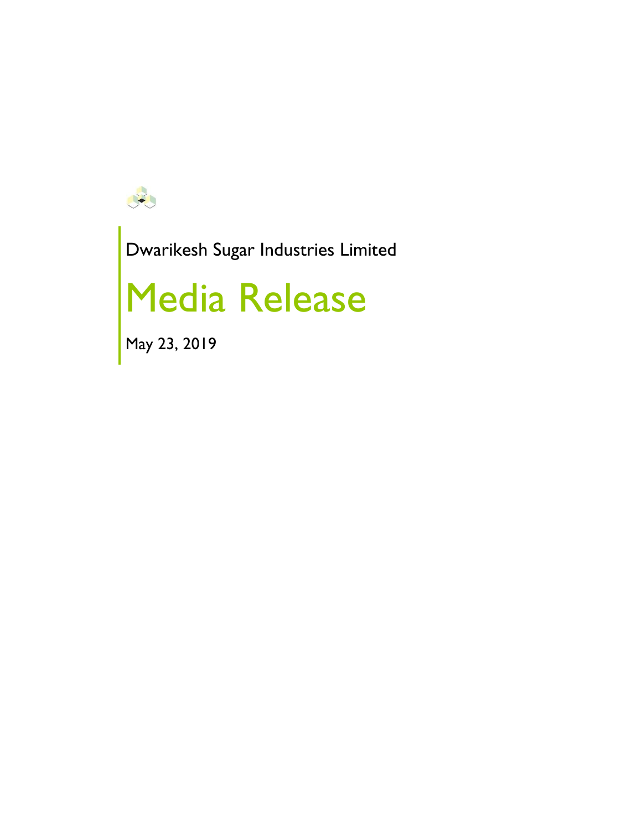

Dwarikesh Sugar Industries Limited

# Media Release

May 23, 2019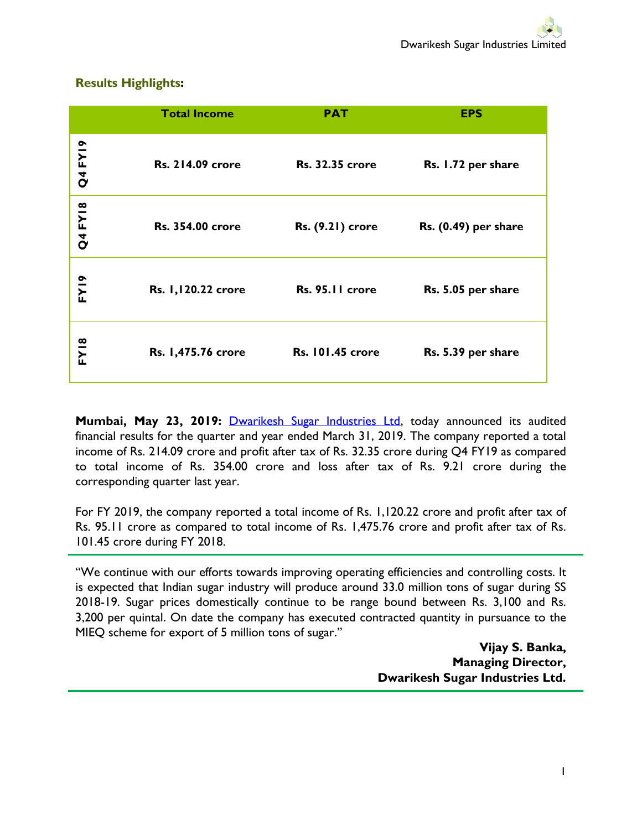#### **Results Highlights:**

|                | <b>Total Income</b>     | <b>PAT</b>              | <b>EPS</b>           |
|----------------|-------------------------|-------------------------|----------------------|
| <b>Q4 FY19</b> | <b>Rs. 214.09 crore</b> | <b>Rs. 32.35 crore</b>  | Rs. 1.72 per share   |
| <b>Q4 FY18</b> | <b>Rs. 354.00 crore</b> | <b>Rs.</b> (9.21) crore | Rs. (0.49) per share |
| FY19           | Rs. 1,120.22 crore      | Rs. 95.11 crore         | Rs. 5.05 per share   |
| <b>FY18</b>    | Rs. 1,475.76 crore      | <b>Rs. 101.45 crore</b> | Rs. 5.39 per share   |

**Mumbai, May 23, 2019:** [Dwarikesh Sugar Industries Ltd,](http://www.dwarikesh.com/) today announced its audited financial results for the quarter and year ended March 31, 2019. The company reported a total income of Rs. 214.09 crore and profit after tax of Rs. 32.35 crore during Q4 FY19 as compared to total income of Rs. 354.00 crore and loss after tax of Rs. 9.21 crore during the corresponding quarter last year.

For FY 2019, the company reported a total income of Rs. 1,120.22 crore and profit after tax of Rs. 95.11 crore as compared to total income of Rs. 1,475.76 crore and profit after tax of Rs. 101.45 crore during FY 2018.

"We continue with our efforts towards improving operating efficiencies and controlling costs. It is expected that Indian sugar industry will produce around 33.0 million tons of sugar during SS 2018-19. Sugar prices domestically continue to be range bound between Rs. 3,100 and Rs. 3,200 per quintal. On date the company has executed contracted quantity in pursuance to the MIEQ scheme for export of 5 million tons of sugar."

> **Vijay S. Banka, Managing Director, Dwarikesh Sugar Industries Ltd.**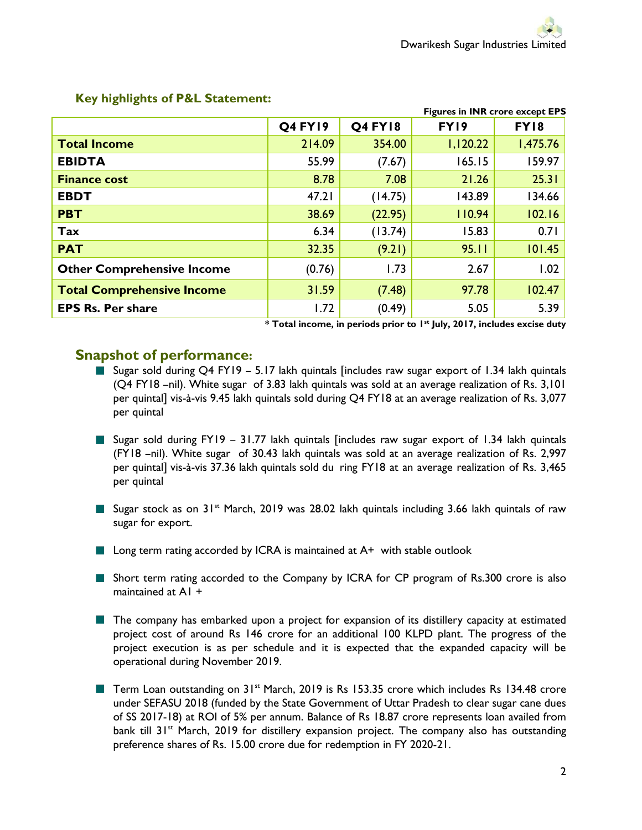|                                   | <b>Figures in INR crore except EPS</b> |                |          |             |  |
|-----------------------------------|----------------------------------------|----------------|----------|-------------|--|
|                                   | <b>Q4 FY19</b>                         | <b>Q4 FY18</b> | FY19     | <b>FY18</b> |  |
| <b>Total Income</b>               | 214.09                                 | 354.00         | 1,120.22 | 1,475.76    |  |
| <b>EBIDTA</b>                     | 55.99                                  | (7.67)         | 165.15   | 159.97      |  |
| <b>Finance cost</b>               | 8.78                                   | 7.08           | 21.26    | 25.31       |  |
| <b>EBDT</b>                       | 47.21                                  | (14.75)        | 143.89   | 134.66      |  |
| <b>PBT</b>                        | 38.69                                  | (22.95)        | 110.94   | 102.16      |  |
| Tax                               | 6.34                                   | (13.74)        | 15.83    | 0.71        |  |
| <b>PAT</b>                        | 32.35                                  | (9.21)         | 95.11    | 101.45      |  |
| <b>Other Comprehensive Income</b> | (0.76)                                 | 1.73           | 2.67     | 1.02        |  |
| <b>Total Comprehensive Income</b> | 31.59                                  | (7.48)         | 97.78    | 102.47      |  |
| <b>EPS Rs. Per share</b>          | 1.72                                   | (0.49)         | 5.05     | 5.39        |  |

#### **Key highlights of P&L Statement:**

**\* Total income, in periods prior to 1st July, 2017, includes excise duty** 

#### **Snapshot of performance:**

- Sugar sold during Q4 FY19 5.17 lakh quintals [includes raw sugar export of 1.34 lakh quintals (Q4 FY18 –nil). White sugar of 3.83 lakh quintals was sold at an average realization of Rs. 3,101 per quintal] vis-à-vis 9.45 lakh quintals sold during Q4 FY18 at an average realization of Rs. 3,077 per quintal
- Sugar sold during FY19 31.77 lakh quintals [includes raw sugar export of 1.34 lakh quintals (FY18 –nil). White sugar of 30.43 lakh quintals was sold at an average realization of Rs. 2,997 per quintal] vis-à-vis 37.36 lakh quintals sold du ring FY18 at an average realization of Rs. 3,465 per quintal
- Sugar stock as on  $31^{st}$  March, 2019 was 28.02 lakh quintals including 3.66 lakh quintals of raw sugar for export.
- $\blacksquare$  Long term rating accorded by ICRA is maintained at A+ with stable outlook
- **Short term rating accorded to the Company by ICRA for CP program of Rs.300 crore is also** maintained at A1 +
- **The company has embarked upon a project for expansion of its distillery capacity at estimated** project cost of around Rs 146 crore for an additional 100 KLPD plant. The progress of the project execution is as per schedule and it is expected that the expanded capacity will be operational during November 2019.
- Term Loan outstanding on 31<sup>st</sup> March, 2019 is Rs 153.35 crore which includes Rs 134.48 crore under SEFASU 2018 (funded by the State Government of Uttar Pradesh to clear sugar cane dues of SS 2017-18) at ROI of 5% per annum. Balance of Rs 18.87 crore represents loan availed from bank till  $31<sup>st</sup>$  March, 2019 for distillery expansion project. The company also has outstanding preference shares of Rs. 15.00 crore due for redemption in FY 2020-21.